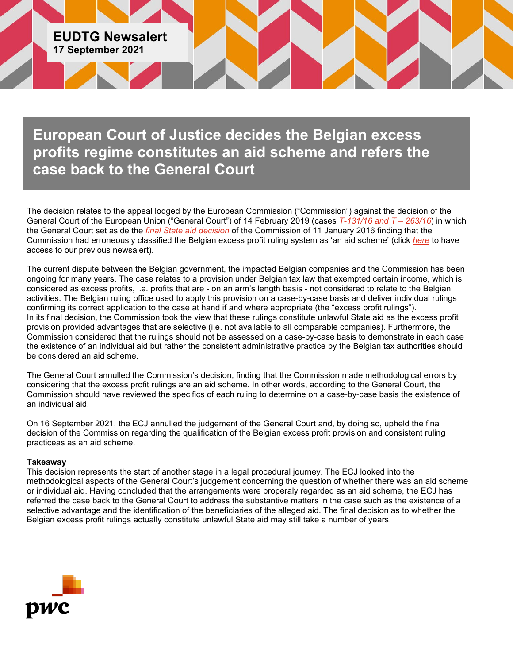

**European Court of Justice decides the Belgian excess profits regime constitutes an aid scheme and refers the case back to the General Court**

The decision relates to the appeal lodged by the European Commission ("Commission") against the decision of the General Court of the European Union ("General Court") of 14 February 2019 (cases *[T-131/16 and T –](https://curia.europa.eu/juris/document/document.jsf?text=&docid=210761&pageIndex=0&doclang=EN&mode=req&dir=&occ=first&part=1&cid=11982933) 263/16*) in which the General Court set aside the *[final State aid decision](https://ec.europa.eu/competition/state_aid/cases/256735/256735_1748545_185_2.pdf)* of the Commission of 11 January 2016 finding that the Commission had erroneously classified the Belgian excess profit ruling system as 'an aid scheme' (click *[here](https://www.pwc.com/gx/en/tax/newsletters/eu-direct-tax-newsalerts/eudtg/pwc-eudtg-newsalert-15-february-2019.pdf)* to have access to our previous newsalert).

The current dispute between the Belgian government, the impacted Belgian companies and the Commission has been ongoing for many years. The case relates to a provision under Belgian tax law that exempted certain income, which is considered as excess profits, i.e. profits that are - on an arm's length basis - not considered to relate to the Belgian activities. The Belgian ruling office used to apply this provision on a case-by-case basis and deliver individual rulings confirming its correct application to the case at hand if and where appropriate (the "excess profit rulings"). In its final decision, the Commission took the view that these rulings constitute unlawful State aid as the excess profit provision provided advantages that are selective (i.e. not available to all comparable companies). Furthermore, the Commission considered that the rulings should not be assessed on a case-by-case basis to demonstrate in each case the existence of an individual aid but rather the consistent administrative practice by the Belgian tax authorities should be considered an aid scheme.

The General Court annulled the Commission's decision, finding that the Commission made methodological errors by considering that the excess profit rulings are an aid scheme. In other words, according to the General Court, the Commission should have reviewed the specifics of each ruling to determine on a case-by-case basis the existence of an individual aid.

On 16 September 2021, the ECJ annulled the judgement of the General Court and, by doing so, upheld the final decision of the Commission regarding the qualification of the Belgian excess profit provision and consistent ruling practiceas as an aid scheme.

## **Takeaway**

This decision represents the start of another stage in a legal procedural journey. The ECJ looked into the methodological aspects of the General Court's judgement concerning the question of whether there was an aid scheme or individual aid. Having concluded that the arrangements were properaly regarded as an aid scheme, the ECJ has referred the case back to the General Court to address the substantive matters in the case such as the existence of a selective advantage and the identification of the beneficiaries of the alleged aid. The final decision as to whether the Belgian excess profit rulings actually constitute unlawful State aid may still take a number of years.